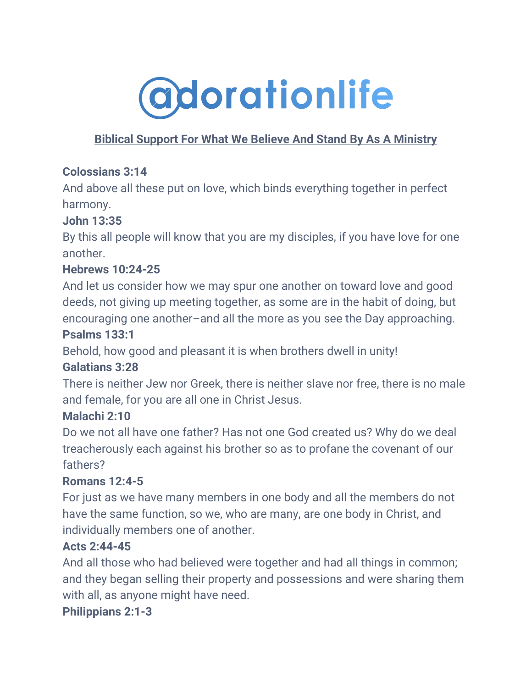

# **Biblical Support For What We Believe And Stand By As A Ministry**

### **Colossians 3:14**

And above all these put on love, which binds everything together in perfect harmony.

## **John 13:35**

By this all people will know that you are my disciples, if you have love for one another.

### **Hebrews 10:24-25**

And let us consider how we may spur one another on toward love and good deeds, not giving up meeting together, as some are in the habit of doing, but encouraging one another–and all the more as you see the Day approaching.

#### **Psalms 133:1**

Behold, how good and pleasant it is when brothers dwell in unity!

### **Galatians 3:28**

There is neither Jew nor Greek, there is neither slave nor free, there is no male and female, for you are all one in Christ Jesus.

### **Malachi 2:10**

Do we not all have one father? Has not one God created us? Why do we deal treacherously each against his brother so as to profane the covenant of our fathers?

### **Romans 12:4-5**

For just as we have many members in one body and all the members do not have the same function, so we, who are many, are one body in Christ, and individually members one of another.

### **Acts 2:44-45**

And all those who had believed were together and had all things in common; and they began selling their property and possessions and were sharing them with all, as anyone might have need.

#### **Philippians 2:1-3**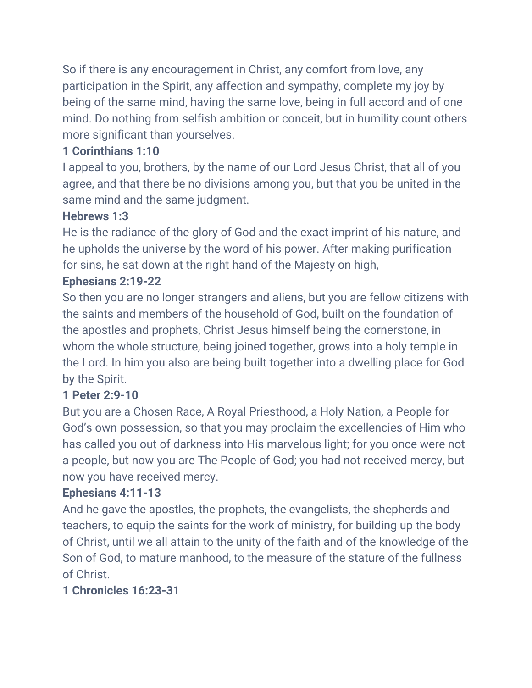So if there is any encouragement in Christ, any comfort from love, any participation in the Spirit, any affection and sympathy, complete my joy by being of the same mind, having the same love, being in full accord and of one mind. Do nothing from selfish ambition or conceit, but in humility count others more significant than yourselves.

## **1 Corinthians 1:10**

I appeal to you, brothers, by the name of our Lord Jesus Christ, that all of you agree, and that there be no divisions among you, but that you be united in the same mind and the same judgment.

#### **Hebrews 1:3**

He is the radiance of the glory of God and the exact imprint of his nature, and he upholds the universe by the word of his power. After making purification for sins, he sat down at the right hand of the Majesty on high,

### **Ephesians 2:19-22**

So then you are no longer strangers and aliens, but you are fellow citizens with the saints and members of the household of God, built on the foundation of the apostles and prophets, Christ Jesus himself being the cornerstone, in whom the whole structure, being joined together, grows into a holy temple in the Lord. In him you also are being built together into a dwelling place for God by the Spirit.

### **1 Peter 2:9-10**

But you are a Chosen Race, A Royal Priesthood, a Holy Nation, a People for God's own possession, so that you may proclaim the excellencies of Him who has called you out of darkness into His marvelous light; for you once were not a people, but now you are The People of God; you had not received mercy, but now you have received mercy.

### **Ephesians 4:11-13**

And he gave the apostles, the prophets, the evangelists, the shepherds and teachers, to equip the saints for the work of ministry, for building up the body of Christ, until we all attain to the unity of the faith and of the knowledge of the Son of God, to mature manhood, to the measure of the stature of the fullness of Christ.

### **1 Chronicles 16:23-31**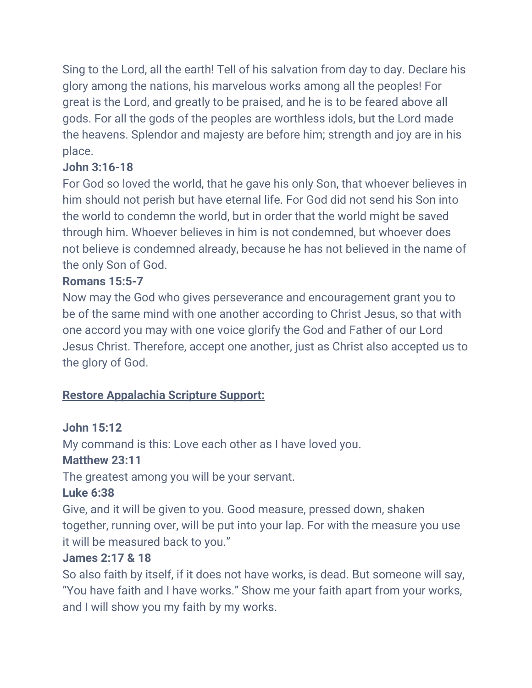Sing to the Lord, all the earth! Tell of his salvation from day to day. Declare his glory among the nations, his marvelous works among all the peoples! For great is the Lord, and greatly to be praised, and he is to be feared above all gods. For all the gods of the peoples are worthless idols, but the Lord made the heavens. Splendor and majesty are before him; strength and joy are in his place.

## **John 3:16-18**

For God so loved the world, that he gave his only Son, that whoever believes in him should not perish but have eternal life. For God did not send his Son into the world to condemn the world, but in order that the world might be saved through him. Whoever believes in him is not condemned, but whoever does not believe is condemned already, because he has not believed in the name of the only Son of God.

### **Romans 15:5-7**

Now may the God who gives perseverance and encouragement grant you to be of the same mind with one another according to Christ Jesus, so that with one accord you may with one voice glorify the God and Father of our Lord Jesus Christ. Therefore, accept one another, just as Christ also accepted us to the glory of God.

# **Restore Appalachia Scripture Support:**

### **John 15:12**

My command is this: Love each other as I have loved you.

### **Matthew 23:11**

The greatest among you will be your servant.

### **Luke 6:38**

Give, and it will be given to you. Good measure, pressed down, shaken together, running over, will be put into your lap. For with the measure you use it will be measured back to you."

# **James 2:17 & 18**

So also faith by itself, if it does not have works, is dead. But someone will say, "You have faith and I have works." Show me your faith apart from your works, and I will show you my faith by my works.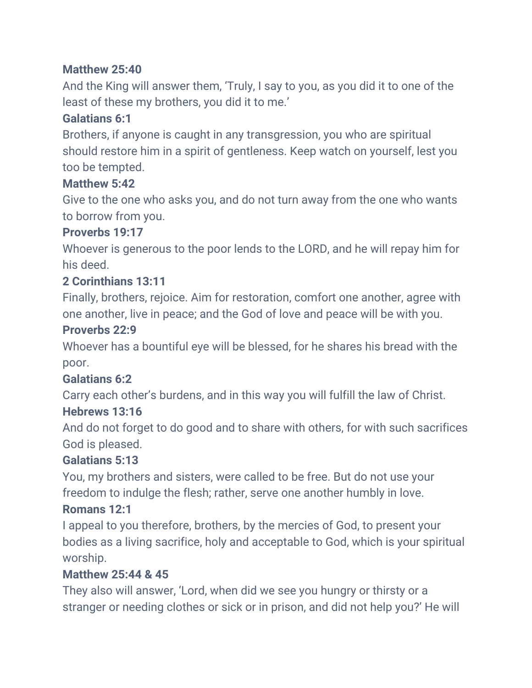### **Matthew 25:40**

And the King will answer them, 'Truly, I say to you, as you did it to one of the least of these my brothers, you did it to me.'

#### **Galatians 6:1**

Brothers, if anyone is caught in any transgression, you who are spiritual should restore him in a spirit of gentleness. Keep watch on yourself, lest you too be tempted.

#### **Matthew 5:42**

Give to the one who asks you, and do not turn away from the one who wants to borrow from you.

#### **Proverbs 19:17**

Whoever is generous to the poor lends to the LORD, and he will repay him for his deed.

### **2 Corinthians 13:11**

Finally, brothers, rejoice. Aim for restoration, comfort one another, agree with one another, live in peace; and the God of love and peace will be with you.

#### **Proverbs 22:9**

Whoever has a bountiful eye will be blessed, for he shares his bread with the poor.

#### **Galatians 6:2**

Carry each other's burdens, and in this way you will fulfill the law of Christ.

#### **Hebrews 13:16**

And do not forget to do good and to share with others, for with such sacrifices God is pleased.

#### **Galatians 5:13**

You, my brothers and sisters, were called to be free. But do not use your freedom to indulge the flesh; rather, serve one another humbly in love.

### **Romans 12:1**

I appeal to you therefore, brothers, by the mercies of God, to present your bodies as a living sacrifice, holy and acceptable to God, which is your spiritual worship.

#### **Matthew 25:44 & 45**

They also will answer, 'Lord, when did we see you hungry or thirsty or a stranger or needing clothes or sick or in prison, and did not help you?' He will